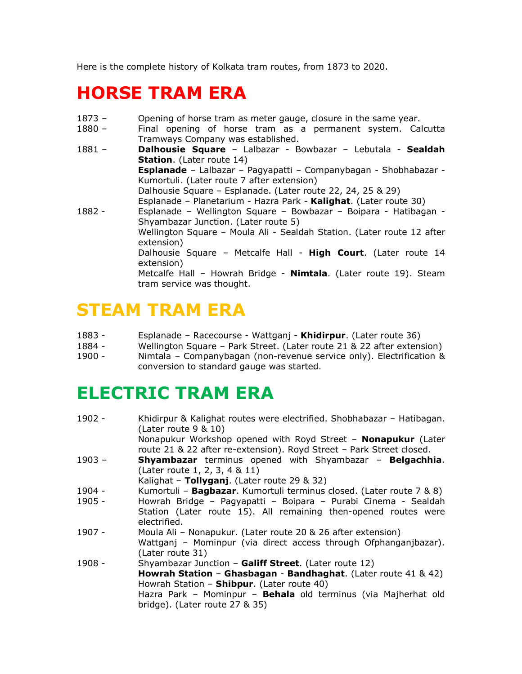Here is the complete history of Kolkata tram routes, from 1873 to 2020.

## **HORSE TRAM ERA**

- 1873 Opening of horse tram as meter gauge, closure in the same year.
- 1880 Final opening of horse tram as a permanent system. Calcutta Tramways Company was established.
- 1881 **Dalhousie Square** Lalbazar Bowbazar Lebutala **Sealdah Station**. (Later route 14) **Esplanade** – Lalbazar – Pagyapatti – Companybagan - Shobhabazar - Kumortuli. (Later route 7 after extension) Dalhousie Square – Esplanade. (Later route 22, 24, 25 & 29) Esplanade – Planetarium - Hazra Park - **Kalighat**. (Later route 30) 1882 - Esplanade – Wellington Square – Bowbazar – Boipara - Hatibagan - Shyambazar Junction. (Later route 5) Wellington Square – Moula Ali - Sealdah Station. (Later route 12 after extension) Dalhousie Square – Metcalfe Hall - **High Court**. (Later route 14 extension) Metcalfe Hall – Howrah Bridge - **Nimtala**. (Later route 19). Steam tram service was thought.

## **STEAM TRAM ERA**

- 1883 Esplanade Racecourse Wattganj **Khidirpur**. (Later route 36)
- 1884 Wellington Square Park Street. (Later route 21 & 22 after extension)<br>1900 Mimtala Companybagan (non-revenue service only). Electrification &
- Nimtala Companybagan (non-revenue service only). Electrification & conversion to standard gauge was started.

## **ELECTRIC TRAM ERA**

| 1902 -   | Khidirpur & Kalighat routes were electrified. Shobhabazar – Hatibagan.  |
|----------|-------------------------------------------------------------------------|
|          | (Later route $9 & 10$ )                                                 |
|          | Nonapukur Workshop opened with Royd Street - Nonapukur (Later           |
|          | route 21 & 22 after re-extension). Royd Street - Park Street closed.    |
| $1903 -$ | <b>Shyambazar</b> terminus opened with Shyambazar - <b>Belgachhia</b> . |
|          | (Later route 1, 2, 3, 4 & 11)                                           |
|          | Kalighat - Tollyganj. (Later route 29 & 32)                             |
| 1904 -   | Kumortuli - Bagbazar. Kumortuli terminus closed. (Later route 7 & 8)    |
| $1905 -$ | Howrah Bridge - Pagyapatti - Boipara - Purabi Cinema - Sealdah          |
|          | Station (Later route 15). All remaining then-opened routes were         |
|          | electrified.                                                            |
| $1907 -$ | Moula Ali - Nonapukur. (Later route 20 & 26 after extension)            |
|          | Wattganj - Mominpur (via direct access through Ofphanganjbazar).        |
|          | (Later route 31)                                                        |
| $1908 -$ | Shyambazar Junction - Galiff Street. (Later route 12)                   |
|          | Howrah Station - Ghasbagan - Bandhaghat. (Later route 41 & 42)          |
|          | Howrah Station - Shibpur. (Later route 40)                              |
|          | Hazra Park - Mominpur - Behala old terminus (via Majherhat old          |
|          | bridge). (Later route $27 & 35$ )                                       |
|          |                                                                         |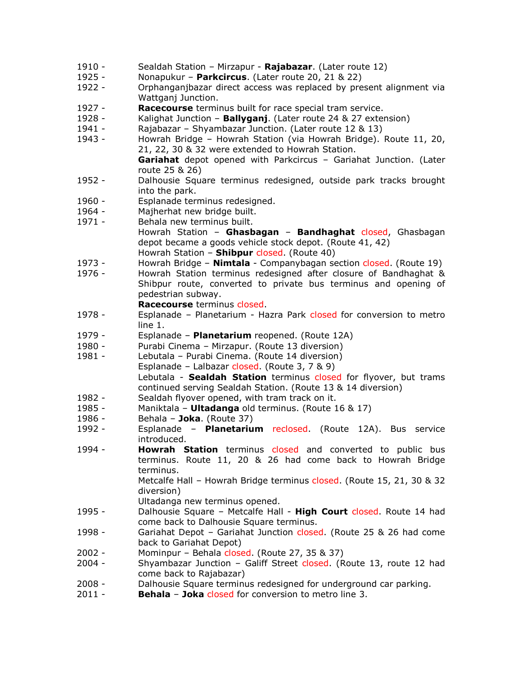- 1910 Sealdah Station Mirzapur **Rajabazar**. (Later route 12)
- 1925 Nonapukur **Parkcircus**. (Later route 20, 21 & 22)
- 1922 Orphanganjbazar direct access was replaced by present alignment via Wattganj Junction.
- 1927 **Racecourse** terminus built for race special tram service.
- 1928 Kalighat Junction **Ballyganj**. (Later route 24 & 27 extension)
- 1941 Rajabazar Shyambazar Junction. (Later route 12 & 13)
- 1943 Howrah Bridge Howrah Station (via Howrah Bridge). Route 11, 20, 21, 22, 30 & 32 were extended to Howrah Station. **Gariahat** depot opened with Parkcircus – Gariahat Junction. (Later route 25 & 26)
- 1952 Dalhousie Square terminus redesigned, outside park tracks brought into the park.
- 1960 Esplanade terminus redesigned.
- 1964 Majherhat new bridge built.
- 1971 Behala new terminus built. Howrah Station – **Ghasbagan** – **Bandhaghat** closed, Ghasbagan depot became a goods vehicle stock depot. (Route 41, 42) Howrah Station – **Shibpur** closed. (Route 40)
- 1973 Howrah Bridge **Nimtala** Companybagan section closed. (Route 19)
- 1976 Howrah Station terminus redesigned after closure of Bandhaghat & Shibpur route, converted to private bus terminus and opening of pedestrian subway.

**Racecourse** terminus closed.

- 1978 Esplanade Planetarium Hazra Park closed for conversion to metro line 1.
- 1979 Esplanade **Planetarium** reopened. (Route 12A)
- 1980 Purabi Cinema Mirzapur. (Route 13 diversion)
- 1981 Lebutala Purabi Cinema. (Route 14 diversion) Esplanade – Lalbazar closed. (Route 3, 7 & 9) Lebutala - **Sealdah Station** terminus closed for flyover, but trams
- continued serving Sealdah Station. (Route 13 & 14 diversion) 1982 - Sealdah flyover opened, with tram track on it.
- 1985 Maniktala **Ultadanga** old terminus. (Route 16 & 17)
- 1986 Behala **Joka**. (Route 37)
- 1992 Esplanade **Planetarium** reclosed. (Route 12A). Bus service introduced.
- 1994 **Howrah Station** terminus closed and converted to public bus terminus. Route 11, 20 & 26 had come back to Howrah Bridge terminus.

Metcalfe Hall – Howrah Bridge terminus closed. (Route 15, 21, 30 & 32 diversion)

Ultadanga new terminus opened.

- 1995 Dalhousie Square Metcalfe Hall **High Court** closed. Route 14 had come back to Dalhousie Square terminus.
- 1998 Gariahat Depot Gariahat Junction closed. (Route 25 & 26 had come back to Gariahat Depot)
- 2002 Mominpur Behala closed. (Route 27, 35 & 37)
- 2004 Shyambazar Junction Galiff Street closed. (Route 13, route 12 had come back to Rajabazar)
- 2008 Dalhousie Square terminus redesigned for underground car parking.
- 2011 **Behala Joka** closed for conversion to metro line 3.